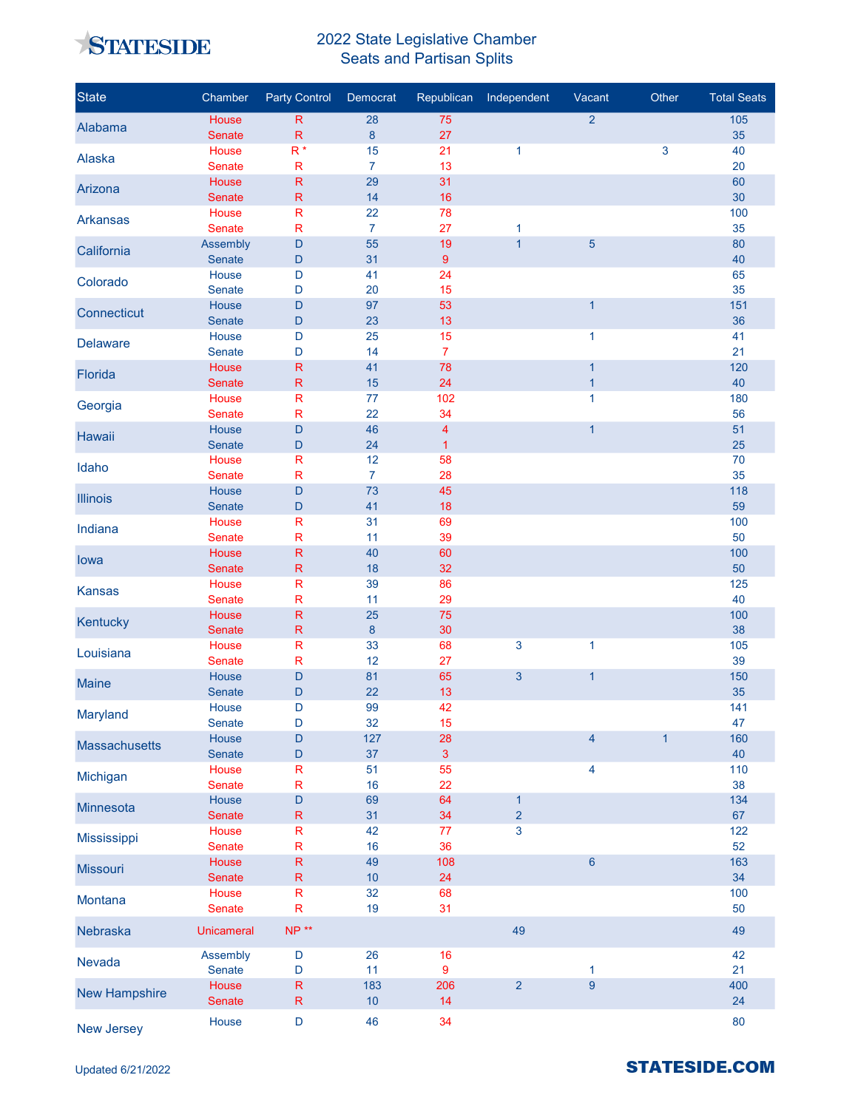

## 2022 State Legislative Chamber Seats and Partisan Splits

| <b>State</b>         | Chamber                | <b>Party Control</b>                   | Democrat       | Republican              | Independent    | Vacant                         | Other        | <b>Total Seats</b> |
|----------------------|------------------------|----------------------------------------|----------------|-------------------------|----------------|--------------------------------|--------------|--------------------|
| Alabama              | House                  | $\mathsf R$                            | 28             | 75                      |                | $\overline{2}$                 |              | 105                |
|                      | Senate<br>House        | $\mathsf{R}$<br>$R^*$                  | $\bf 8$<br>15  | 27                      |                |                                |              | 35                 |
| Alaska               | <b>Senate</b>          | $\mathsf{R}$                           | $\overline{7}$ | 21<br>13                | $\mathbf{1}$   |                                | 3            | 40<br>20           |
|                      | House                  | $\mathsf{R}$                           | 29             | 31                      |                |                                |              | 60                 |
| Arizona              | Senate                 | ${\sf R}$                              | 14             | 16                      |                |                                |              | 30                 |
| <b>Arkansas</b>      | House                  | ${\sf R}$                              | 22             | 78                      |                |                                |              | 100                |
|                      | <b>Senate</b>          | $\mathsf R$                            | $\overline{7}$ | 27                      | $\mathbf{1}$   |                                |              | 35                 |
| California           | Assembly               | $\mathsf D$                            | 55             | 19                      | $\overline{1}$ | 5                              |              | 80                 |
|                      | Senate<br>House        | $\mathsf D$<br>$\mathsf D$             | 31<br>41       | $9\,$<br>24             |                |                                |              | 40<br>65           |
| Colorado             | <b>Senate</b>          | $\mathsf D$                            | 20             | 15                      |                |                                |              | 35                 |
| Connecticut          | House                  | D                                      | 97             | 53                      |                | $\mathbf{1}$                   |              | 151                |
|                      | Senate                 | $\mathsf D$                            | 23             | 13                      |                |                                |              | 36                 |
| <b>Delaware</b>      | House                  | D                                      | 25             | 15                      |                | 1                              |              | 41                 |
|                      | Senate                 | D                                      | 14             | $\overline{7}$          |                |                                |              | 21                 |
| Florida              | House<br>Senate        | $\mathsf{R}$<br>${\sf R}$              | 41<br>15       | 78<br>24                |                | $\mathbf{1}$<br>$\overline{1}$ |              | 120<br>40          |
|                      | House                  | $\mathsf R$                            | 77             | 102                     |                | $\mathbf{1}$                   |              | 180                |
| Georgia              | Senate                 | $\mathsf R$                            | 22             | 34                      |                |                                |              | 56                 |
| Hawaii               | House                  | $\mathsf D$                            | 46             | $\overline{\mathbf{4}}$ |                | $\mathbf{1}$                   |              | 51                 |
|                      | <b>Senate</b>          | $\mathsf D$                            | 24             | $\mathbf{1}$            |                |                                |              | 25                 |
| Idaho                | House                  | R                                      | 12             | 58                      |                |                                |              | 70                 |
|                      | <b>Senate</b>          | ${\sf R}$                              | $\overline{7}$ | 28                      |                |                                |              | 35                 |
| <b>Illinois</b>      | House<br>Senate        | D<br>$\mathsf D$                       | 73<br>41       | 45<br>18                |                |                                |              | 118<br>59          |
|                      | House                  | R                                      | 31             | 69                      |                |                                |              | 100                |
| Indiana              | Senate                 | $\mathsf{R}$                           | 11             | 39                      |                |                                |              | 50                 |
| lowa                 | House                  | ${\sf R}$                              | 40             | 60                      |                |                                |              | 100                |
|                      | Senate                 | ${\sf R}$                              | 18             | 32                      |                |                                |              | 50                 |
| <b>Kansas</b>        | House                  | $\mathsf{R}$                           | 39             | 86                      |                |                                |              | 125                |
|                      | Senate<br>House        | $\mathsf{R}$<br>$\mathsf{R}$           | 11<br>25       | 29<br>75                |                |                                |              | 40                 |
| Kentucky             | Senate                 | $\mathsf{R}$                           | $\bf 8$        | 30                      |                |                                |              | 100<br>38          |
|                      | House                  | ${\sf R}$                              | 33             | 68                      | $\mathbf{3}$   | 1                              |              | 105                |
| Louisiana            | Senate                 | ${\sf R}$                              | 12             | 27                      |                |                                |              | 39                 |
| <b>Maine</b>         | House                  | D                                      | 81             | 65                      | 3              | $\overline{1}$                 |              | 150                |
|                      | Senate                 | D                                      | 22             | 13                      |                |                                |              | 35                 |
| Maryland             | House                  | D                                      | 99             | 42                      |                |                                |              | 141                |
|                      | Senate<br>House        | D<br>$\mathsf D$                       | 32<br>127      | 15<br>28                |                | 4                              | $\mathbf{1}$ | 47<br>160          |
| <b>Massachusetts</b> | Senate                 | $\mathsf D$                            | 37             | $\mathbf{3}$            |                |                                |              | 40                 |
|                      | House                  | ${\sf R}$                              | 51             | 55                      |                | 4                              |              | 110                |
| Michigan             | <b>Senate</b>          | $\mathsf{R}$                           | 16             | 22                      |                |                                |              | 38                 |
| Minnesota            | House                  | $\begin{array}{c} \square \end{array}$ | 69             | 64                      | $\mathbf{1}$   |                                |              | 134                |
|                      | <b>Senate</b>          | ${\sf R}$                              | 31             | 34                      | $\overline{2}$ |                                |              | 67                 |
| Mississippi          | House<br><b>Senate</b> | R<br>${\sf R}$                         | 42<br>16       | 77<br>36                | 3              |                                |              | 122<br>52          |
|                      | House                  | ${\sf R}$                              | 49             | 108                     |                | $\overline{6}$                 |              | 163                |
| <b>Missouri</b>      | Senate                 | ${\sf R}$                              | 10             | 24                      |                |                                |              | 34                 |
| Montana              | House                  | ${\sf R}$                              | 32             | 68                      |                |                                |              | 100                |
|                      | Senate                 | $\mathsf{R}$                           | 19             | 31                      |                |                                |              | 50                 |
| Nebraska             | <b>Unicameral</b>      | $NP**$                                 |                |                         | 49             |                                |              | 49                 |
| Nevada               | Assembly               | $\mathsf D$                            | 26             | 16                      |                |                                |              | 42                 |
|                      | <b>Senate</b>          | D                                      | 11             | 9                       |                | $\mathbf{1}$                   |              | 21                 |
| <b>New Hampshire</b> | House<br>Senate        | ${\sf R}$<br>${\sf R}$                 | 183<br>10      | 206<br>14               | $\overline{2}$ | 9                              |              | 400<br>24          |
| New Jersey           | House                  | D                                      | 46             | 34                      |                |                                |              | 80                 |

## **STATESIDE.COM**